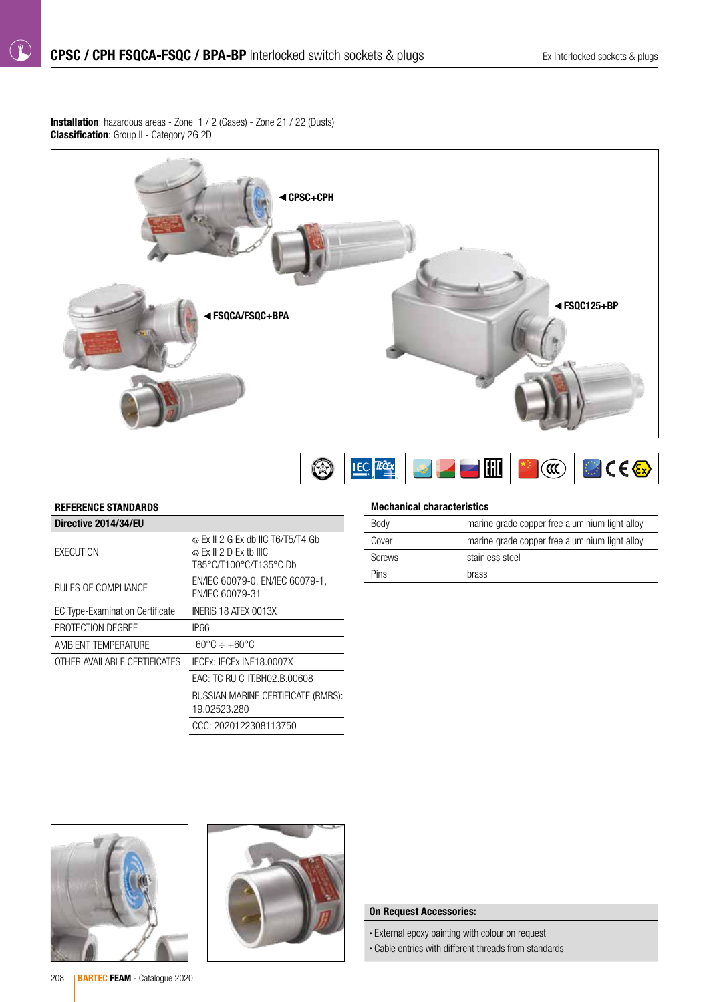Installation: hazardous areas - Zone 1 / 2 (Gases) - Zone 21 / 22 (Dusts) **Classification:** Group II - Category 2G 2D



# OEEE JF HOOD

## REFERENCE STANDARDS

 $( \mathbf{f} )$ 

| Directive 2014/34/EU                   |                                                                                                     |
|----------------------------------------|-----------------------------------------------------------------------------------------------------|
| <b>EXECUTION</b>                       | $\odot$ Ex II 2 G Ex db IIC T6/T5/T4 Gb<br>$\otimes$ Ex II 2 D Ex tb IIIC<br>T85°C/T100°C/T135°C Db |
| RULES OF COMPLIANCE                    | EN/IEC 60079-0, EN/IEC 60079-1,<br>EN/IEC 60079-31                                                  |
| <b>EC Type-Examination Certificate</b> | INERIS 18 ATEX 0013X                                                                                |
| PROTECTION DEGREE                      | IP66                                                                                                |
| AMBIENT TEMPERATURE                    | -60°C ÷ +60°C                                                                                       |
| OTHER AVAILABLE CERTIFICATES           | IECEX: IECEX INE18.0007X                                                                            |
|                                        | EAC: TC RU C-IT.BH02.B.00608                                                                        |
|                                        | RUSSIAN MARINE CERTIFICATE (RMRS):<br>19.02523.280                                                  |
|                                        | CCC: 2020122308113750                                                                               |

#### Mechanical characteristics

| Body          | marine grade copper free aluminium light alloy |
|---------------|------------------------------------------------|
| Cover         | marine grade copper free aluminium light alloy |
| <b>Screws</b> | stainless steel                                |
| Pins          | <b>brass</b>                                   |





#### On Request Accessories:

- External epoxy painting with colour on request
- Cable entries with different threads from standards